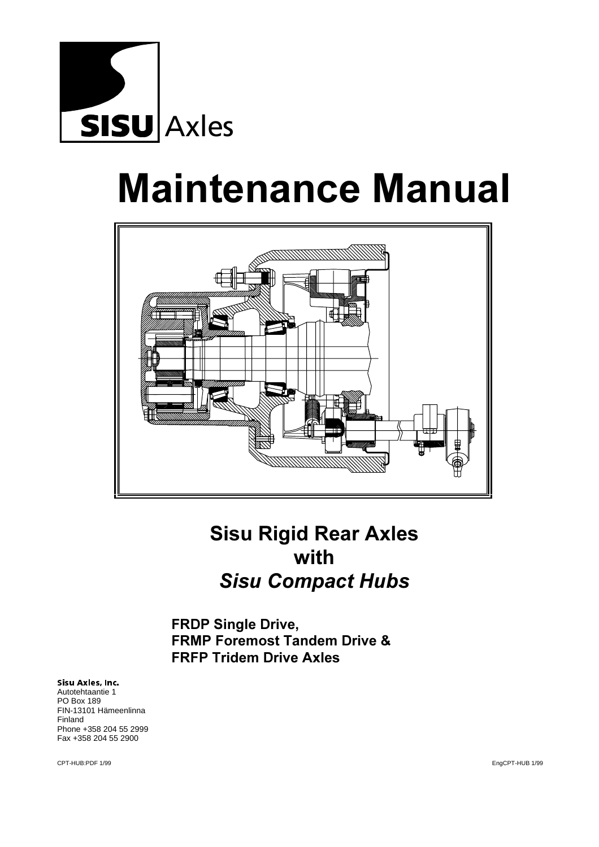

# **Maintenance Manual**



# **Sisu Rigid Rear Axles** with **Sisu Compact Hubs**

FRDP Single Drive, **FRMP Foremost Tandem Drive & FRFP Tridem Drive Axles** 

Sisu Axles, Inc. Autotehtaantie 1 PO Box 189 FIN-13101 Hämeenlinna Finland Phone +358 204 55 2999 Fax +358 204 55 2900

CPT-HUB:PDF 1/99 EngCPT-HUB 1/99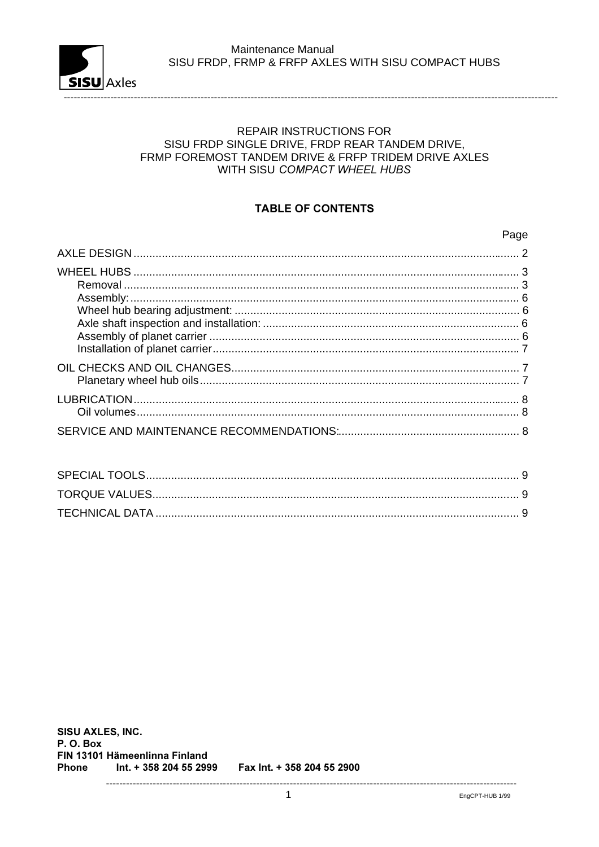

# **REPAIR INSTRUCTIONS FOR** SISU FRDP SINGLE DRIVE, FRDP REAR TANDEM DRIVE, FRMP FOREMOST TANDEM DRIVE & FRFP TRIDEM DRIVE AXLES WITH SISU COMPACT WHEEL HUBS

# **TABLE OF CONTENTS**

### Page

SISU AXLES, INC. P.O. Box FIN 13101 Hämeenlinna Finland Phone Int. + 358 204 55 2999 Fax Int. + 358 204 55 2900

---------------------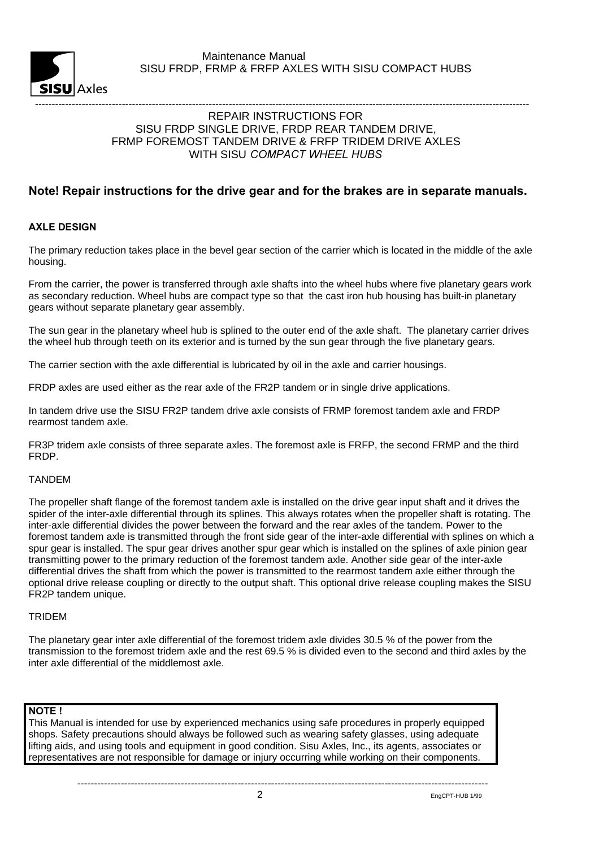

#### ---------------------------------------------------------------------------------------------------------------------------------------------------- REPAIR INSTRUCTIONS FOR SISU FRDP SINGLE DRIVE, FRDP REAR TANDEM DRIVE, FRMP FOREMOST TANDEM DRIVE & FRFP TRIDEM DRIVE AXLES WITH SISU COMPACT WHEEL HUBS

# Note! Repair instructions for the drive gear and for the brakes are in separate manuals.

#### **AXLE DESIGN**

The primary reduction takes place in the bevel gear section of the carrier which is located in the middle of the axle housing.

From the carrier, the power is transferred through axle shafts into the wheel hubs where five planetary gears work as secondary reduction. Wheel hubs are compact type so that the cast iron hub housing has built-in planetary gears without separate planetary gear assembly.

The sun gear in the planetary wheel hub is splined to the outer end of the axle shaft. The planetary carrier drives the wheel hub through teeth on its exterior and is turned by the sun gear through the five planetary gears.

The carrier section with the axle differential is lubricated by oil in the axle and carrier housings.

FRDP axles are used either as the rear axle of the FR2P tandem or in single drive applications.

In tandem drive use the SISU FR2P tandem drive axle consists of FRMP foremost tandem axle and FRDP rearmost tandem axle.

FR3P tridem axle consists of three separate axles. The foremost axle is FRFP, the second FRMP and the third FRDP.

# TANDEM

The propeller shaft flange of the foremost tandem axle is installed on the drive gear input shaft and it drives the spider of the inter-axle differential through its splines. This always rotates when the propeller shaft is rotating. The inter-axle differential divides the power between the forward and the rear axles of the tandem. Power to the foremost tandem axle is transmitted through the front side gear of the inter-axle differential with splines on which a spur gear is installed. The spur gear drives another spur gear which is installed on the splines of axle pinion gear transmitting power to the primary reduction of the foremost tandem axle. Another side gear of the inter-axle differential drives the shaft from which the power is transmitted to the rearmost tandem axle either through the optional drive release coupling or directly to the output shaft. This optional drive release coupling makes the SISU FR2P tandem unique.

#### TRIDEM

The planetary gear inter axle differential of the foremost tridem axle divides 30.5 % of the power from the transmission to the foremost tridem axle and the rest 69.5 % is divided even to the second and third axles by the inter axle differential of the middlemost axle.

### NOTE!

This Manual is intended for use by experienced mechanics using safe procedures in properly equipped shops. Safety precautions should always be followed such as wearing safety glasses, using adequate lifting aids, and using tools and equipment in good condition. Sisu Axles, Inc., its agents, associates or representatives are not responsible for damage or injury occurring while working on their components.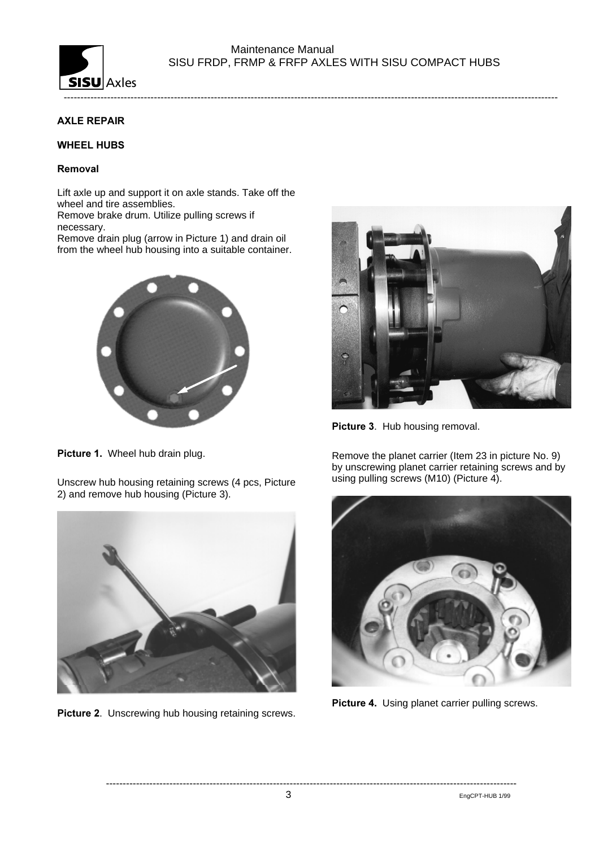

----------------------------------------------------------------------------------------------------------------------------------------------------

# **AXLE REPAIR**

#### **WHEEL HUBS**

#### Removal

Lift axle up and support it on axle stands. Take off the wheel and tire assemblies.

Remove brake drum. Utilize pulling screws if necessary.

Remove drain plug (arrow in Picture 1) and drain oil from the wheel hub housing into a suitable container.



Picture 1. Wheel hub drain plug.

Unscrew hub housing retaining screws (4 pcs, Picture 2) and remove hub housing (Picture 3).



Picture 2. Unscrewing hub housing retaining screws.



Picture 3. Hub housing removal.

Remove the planet carrier (Item 23 in picture No. 9) by unscrewing planet carrier retaining screws and by using pulling screws (M10) (Picture 4).



Picture 4. Using planet carrier pulling screws.

3 EngCPT-HUB 1/99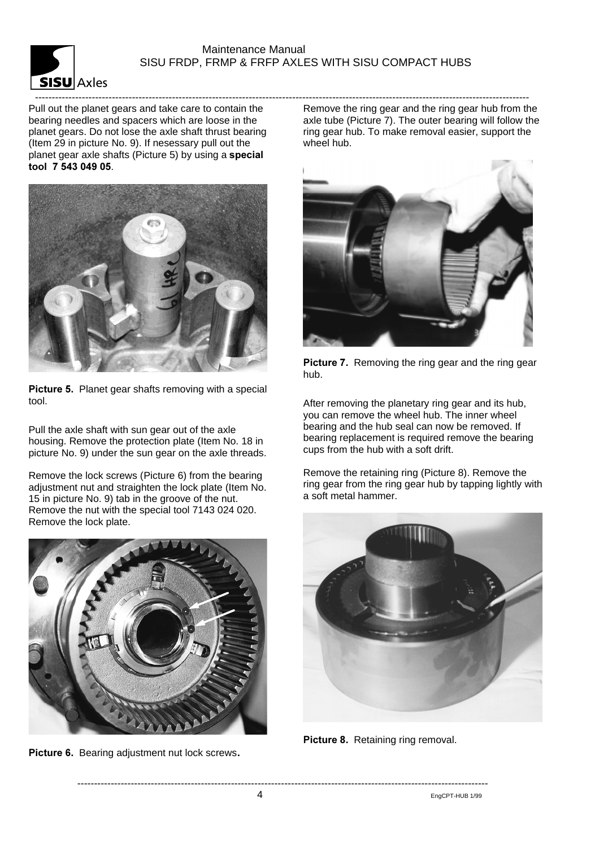

Pull out the planet gears and take care to contain the bearing needles and spacers which are loose in the planet gears. Do not lose the axle shaft thrust bearing (Item 29 in picture No. 9). If nesessary pull out the planet gear axle shafts (Picture 5) by using a special tool 7 543 049 05.



Picture 5. Planet gear shafts removing with a special tool.

Pull the axle shaft with sun gear out of the axle housing. Remove the protection plate (Item No. 18 in picture No. 9) under the sun gear on the axle threads.

Remove the lock screws (Picture 6) from the bearing adjustment nut and straighten the lock plate (Item No. 15 in picture No. 9) tab in the groove of the nut. Remove the nut with the special tool 7143 024 020. Remove the lock plate.



Picture 6. Bearing adjustment nut lock screws.

---------------------------------------------------------------------------------------------------------------------------------------------------- Remove the ring gear and the ring gear hub from the axle tube (Picture 7). The outer bearing will follow the ring gear hub. To make removal easier, support the wheel hub.



Picture 7. Removing the ring gear and the ring gear hub.

After removing the planetary ring gear and its hub, you can remove the wheel hub. The inner wheel bearing and the hub seal can now be removed. If bearing replacement is required remove the bearing cups from the hub with a soft drift.

Remove the retaining ring (Picture 8). Remove the ring gear from the ring gear hub by tapping lightly with a soft metal hammer.



Picture 8. Retaining ring removal.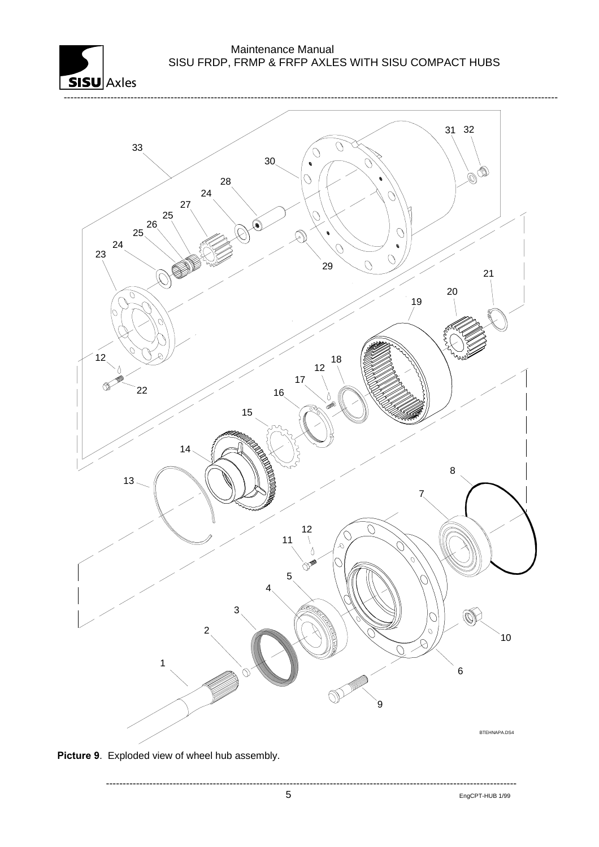



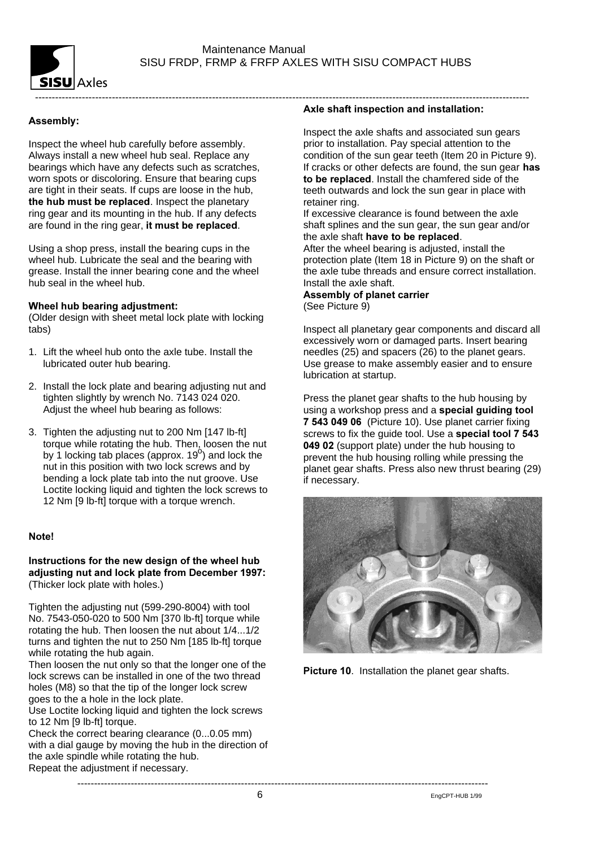

# Assembly:

Inspect the wheel hub carefully before assembly. Always install a new wheel hub seal. Replace any bearings which have any defects such as scratches, worn spots or discoloring. Ensure that bearing cups are tight in their seats. If cups are loose in the hub, the hub must be replaced. Inspect the planetary ring gear and its mounting in the hub. If any defects are found in the ring gear, it must be replaced.

Using a shop press, install the bearing cups in the wheel hub. Lubricate the seal and the bearing with grease. Install the inner bearing cone and the wheel hub seal in the wheel hub.

#### Wheel hub bearing adjustment:

(Older design with sheet metal lock plate with locking tabs)

- 1. Lift the wheel hub onto the axle tube. Install the lubricated outer hub bearing.
- 2. Install the lock plate and bearing adjusting nut and tighten slightly by wrench No. 7143 024 020. Adjust the wheel hub bearing as follows:
- 3. Tighten the adjusting nut to 200 Nm [147 lb-ft] torque while rotating the hub. Then, loosen the nut by 1 locking tab places (approx.  $19^{\circ}$ ) and lock the nut in this position with two lock screws and by bending a lock plate tab into the nut groove. Use Loctite locking liquid and tighten the lock screws to 12 Nm [9 lb-ft] torque with a torque wrench.

#### **Notel**

#### Instructions for the new design of the wheel hub adjusting nut and lock plate from December 1997: (Thicker lock plate with holes.)

Tighten the adjusting nut (599-290-8004) with tool No. 7543-050-020 to 500 Nm [370 lb-ft] torque while rotating the hub. Then loosen the nut about 1/4...1/2 turns and tighten the nut to 250 Nm [185 lb-ft] torque while rotating the hub again.

Then loosen the nut only so that the longer one of the lock screws can be installed in one of the two thread holes (M8) so that the tip of the longer lock screw goes to the a hole in the lock plate.

Use Loctite locking liquid and tighten the lock screws to 12 Nm [9 lb-ft] torque.

Check the correct bearing clearance (0...0.05 mm) with a dial gauge by moving the hub in the direction of the axle spindle while rotating the hub. Repeat the adjustment if necessary.

Axle shaft inspection and installation:

Inspect the axle shafts and associated sun gears prior to installation. Pay special attention to the condition of the sun gear teeth (Item 20 in Picture 9). If cracks or other defects are found, the sun gear has to be replaced. Install the chamfered side of the teeth outwards and lock the sun gear in place with retainer ring.

If excessive clearance is found between the axle shaft splines and the sun gear, the sun gear and/or the axle shaft have to be replaced.

After the wheel bearing is adjusted, install the protection plate (Item 18 in Picture 9) on the shaft or the axle tube threads and ensure correct installation. Install the axle shaft.

#### Assembly of planet carrier (See Picture 9)

Inspect all planetary gear components and discard all excessively worn or damaged parts. Insert bearing needles (25) and spacers (26) to the planet gears. Use grease to make assembly easier and to ensure lubrication at startup.

Press the planet gear shafts to the hub housing by using a workshop press and a special guiding tool 7 543 049 06 (Picture 10). Use planet carrier fixing screws to fix the quide tool. Use a special tool 7 543 049 02 (support plate) under the hub housing to prevent the hub housing rolling while pressing the planet gear shafts. Press also new thrust bearing (29) if necessary.



Picture 10. Installation the planet gear shafts.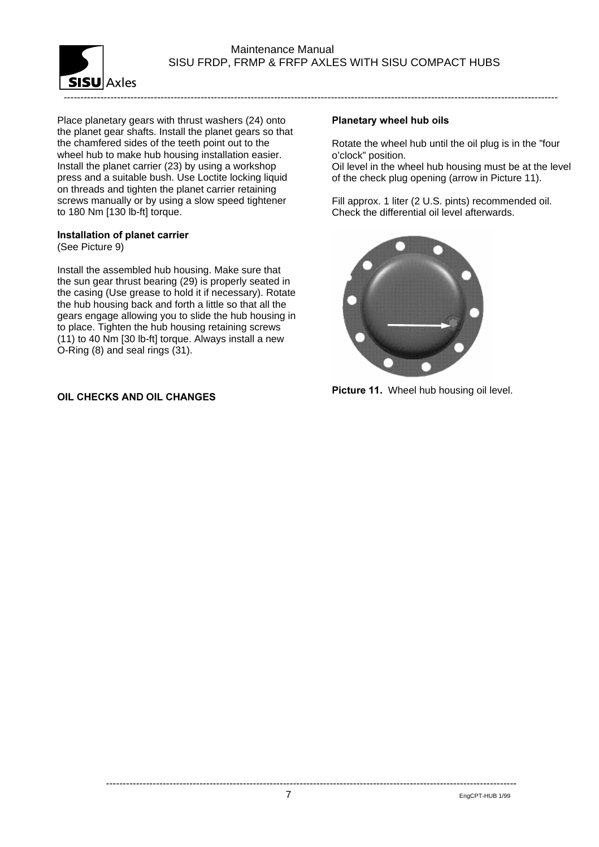

Place planetary gears with thrust washers (24) onto the planet gear shafts. Install the planet gears so that the chamfered sides of the teeth point out to the wheel hub to make hub housing installation easier. Install the planet carrier (23) by using a workshop press and a suitable bush. Use Loctite locking liquid on threads and tighten the planet carrier retaining screws manually or by using a slow speed tightener to 180 Nm [130 lb-ft] torque.

# Installation of planet carrier

(See Picture 9)

Install the assembled hub housing. Make sure that the sun gear thrust bearing (29) is properly seated in the casing (Use grease to hold it if necessary). Rotate the hub housing back and forth a little so that all the gears engage allowing you to slide the hub housing in to place. Tighten the hub housing retaining screws (11) to 40 Nm [30 lb-ft] torque. Always install a new O-Ring (8) and seal rings (31).

# OIL CHECKS AND OIL CHANGES

# Planetary wheel hub oils

Rotate the wheel hub until the oil plug is in the "four o'clock" position.

Oil level in the wheel hub housing must be at the level of the check plug opening (arrow in Picture 11).

Fill approx. 1 liter (2 U.S. pints) recommended oil. Check the differential oil level afterwards.



Picture 11. Wheel hub housing oil level.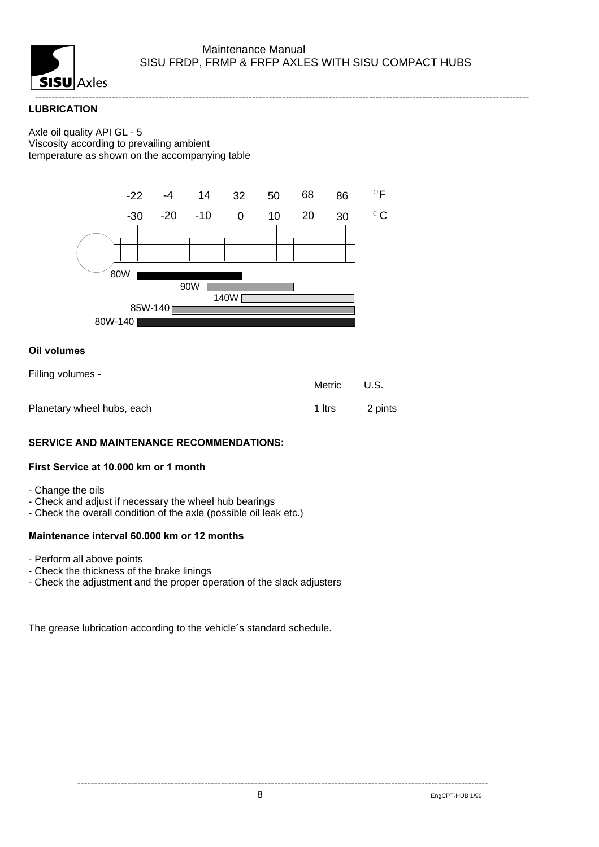

----------------------------------------------------------------------------------------------------------------------------------------------------

#### **LUBRICATION**

#### Axle oil quality API GL - 5 Viscosity according to prevailing ambient temperature as shown on the accompanying table



#### **Oil volumes**

| Filling volumes -          | Metric | U.S.    |
|----------------------------|--------|---------|
| Planetary wheel hubs, each | 1 Itrs | 2 pints |

#### SERVICE AND MAINTENANCE RECOMMENDATIONS:

#### First Service at 10.000 km or 1 month

- Change the oils
- Check and adjust if necessary the wheel hub bearings
- Check the overall condition of the axle (possible oil leak etc.)

#### Maintenance interval 60,000 km or 12 months

- Perform all above points
- Check the thickness of the brake linings
- Check the adjustment and the proper operation of the slack adjusters

The grease lubrication according to the vehicle´s standard schedule.